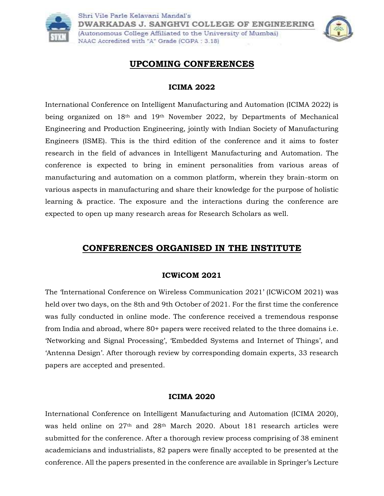



# **UPCOMING CONFERENCES**

#### **ICIMA 2022**

International Conference on Intelligent Manufacturing and Automation (ICIMA 2022) is being organized on 18th and 19th November 2022, by Departments of Mechanical Engineering and Production Engineering, jointly with Indian Society of Manufacturing Engineers (ISME). This is the third edition of the conference and it aims to foster research in the field of advances in Intelligent Manufacturing and Automation. The conference is expected to bring in eminent personalities from various areas of manufacturing and automation on a common platform, wherein they brain-storm on various aspects in manufacturing and share their knowledge for the purpose of holistic learning & practice. The exposure and the interactions during the conference are expected to open up many research areas for Research Scholars as well.

# **CONFERENCES ORGANISED IN THE INSTITUTE**

### **ICWiCOM 2021**

The 'International Conference on Wireless Communication 2021' (ICWiCOM 2021) was held over two days, on the 8th and 9th October of 2021. For the first time the conference was fully conducted in online mode. The conference received a tremendous response from India and abroad, where 80+ papers were received related to the three domains i.e. 'Networking and Signal Processing', 'Embedded Systems and Internet of Things', and 'Antenna Design'. After thorough review by corresponding domain experts, 33 research papers are accepted and presented.

#### **ICIMA 2020**

International Conference on Intelligent Manufacturing and Automation (ICIMA 2020), was held online on 27th and 28th March 2020. About 181 research articles were submitted for the conference. After a thorough review process comprising of 38 eminent academicians and industrialists, 82 papers were finally accepted to be presented at the conference. All the papers presented in the conference are available in Springer's Lecture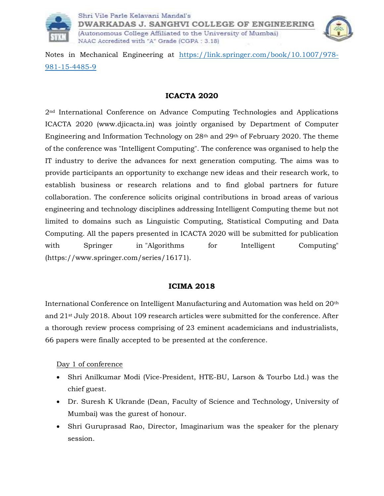



Notes in Mechanical Engineering at [https://link.springer.com/book/10.1007/978-](https://link.springer.com/book/10.1007/978-981-15-4485-9) [981-15-4485-9](https://link.springer.com/book/10.1007/978-981-15-4485-9)

### **ICACTA 2020**

2nd International Conference on Advance Computing Technologies and Applications ICACTA 2020 [\(www.djicacta.in\)](http://www.djicacta.in/) was jointly organised by Department of Computer Engineering and Information Technology on 28th and 29th of February 2020. The theme of the conference was "Intelligent Computing". The conference was organised to help the IT industry to derive the advances for next generation computing. The aims was to provide participants an opportunity to exchange new ideas and their research work, to establish business or research relations and to find global partners for future collaboration. The conference solicits original contributions in broad areas of various engineering and technology disciplines addressing Intelligent Computing theme but not limited to domains such as Linguistic Computing, Statistical Computing and Data Computing. All the papers presented in ICACTA 2020 will be submitted for publication with Springer in "Algorithms for Intelligent Computing" [\(https://www.springer.com/series/16171\)](https://www.springer.com/series/16171).

## **ICIMA 2018**

International Conference on Intelligent Manufacturing and Automation was held on 20th and 21st July 2018. About 109 research articles were submitted for the conference. After a thorough review process comprising of 23 eminent academicians and industrialists, 66 papers were finally accepted to be presented at the conference.

### Day 1 of conference

- Shri Anilkumar Modi (Vice-President, HTE-BU, Larson & Tourbo Ltd.) was the chief guest.
- Dr. Suresh K Ukrande (Dean, Faculty of Science and Technology, University of Mumbai) was the gurest of honour.
- Shri Guruprasad Rao, Director, Imaginarium was the speaker for the plenary session.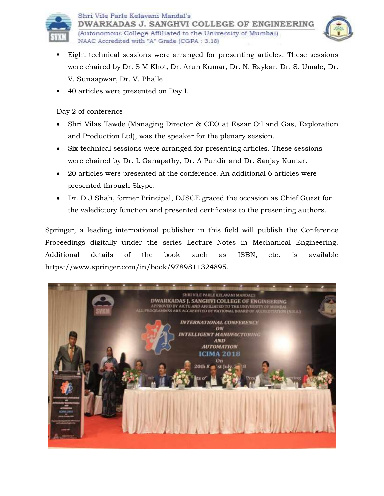



- Eight technical sessions were arranged for presenting articles. These sessions were chaired by Dr. S M Khot, Dr. Arun Kumar, Dr. N. Raykar, Dr. S. Umale, Dr. V. Sunaapwar, Dr. V. Phalle.
- 40 articles were presented on Day I.

NAAC Accredited with "A" Grade (CGPA: 3.18)

### Day 2 of conference

- Shri Vilas Tawde (Managing Director & CEO at Essar Oil and Gas, Exploration and Production Ltd), was the speaker for the plenary session.
- Six technical sessions were arranged for presenting articles. These sessions were chaired by Dr. L Ganapathy, Dr. A Pundir and Dr. Sanjay Kumar.
- 20 articles were presented at the conference. An additional 6 articles were presented through Skype.
- Dr. D J Shah, former Principal, DJSCE graced the occasion as Chief Guest for the valedictory function and presented certificates to the presenting authors.

Springer, a leading international publisher in this field will publish the Conference Proceedings digitally under the series Lecture Notes in Mechanical Engineering. Additional details of the book such as ISBN, etc. is available [https://www.springer.com/in/book/9789811324895.](https://www.springer.com/in/book/9789811324895)

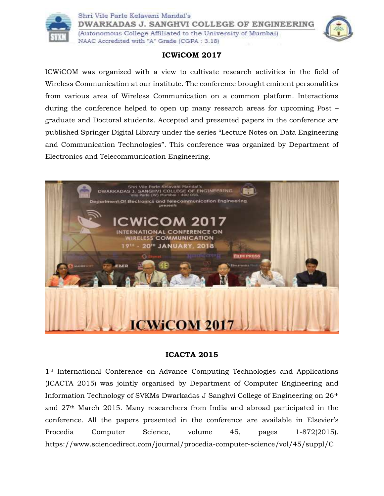



**DWARKADAS J. SANGHVI COLLEGE OF ENGINEERING** 

(Autonomous College Affiliated to the University of Mumbai) NAAC Accredited with "A" Grade (CGPA: 3.18)



## **ICWiCOM 2017**

ICWiCOM was organized with a view to cultivate research activities in the field of Wireless Communication at our institute. The conference brought eminent personalities from various area of Wireless Communication on a common platform. Interactions during the conference helped to open up many research areas for upcoming Post – graduate and Doctoral students. Accepted and presented papers in the conference are published Springer Digital Library under the series "Lecture Notes on Data Engineering and Communication Technologies". This conference was organized by Department of Electronics and Telecommunication Engineering.



### **ICACTA 2015**

1<sup>st</sup> International Conference on Advance Computing Technologies and Applications (ICACTA 2015) was jointly organised by Department of Computer Engineering and Information Technology of SVKMs Dwarkadas J Sanghvi College of Engineering on 26th and 27th March 2015. Many researchers from India and abroad participated in the conference. All the papers presented in the conference are available in Elsevier's Procedia Computer Science, volume 45, pages 1-872(2015). <https://www.sciencedirect.com/journal/procedia-computer-science/vol/45/suppl/C>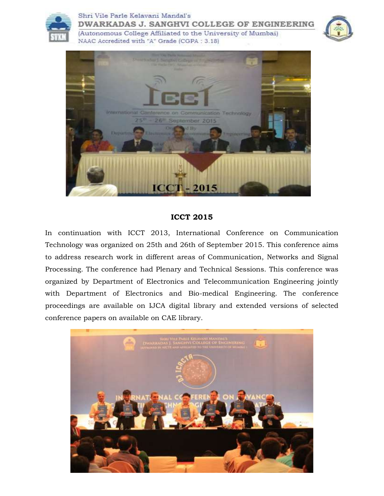





#### **ICCT 2015**

In continuation with ICCT 2013, International Conference on Communication Technology was organized on 25th and 26th of September 2015. This conference aims to address research work in different areas of Communication, Networks and Signal Processing. The conference had Plenary and Technical Sessions. This conference was organized by Department of Electronics and Telecommunication Engineering jointly with Department of Electronics and Bio-medical Engineering. The conference proceedings are available on IJCA digital library and extended versions of selected conference papers on available on CAE library.

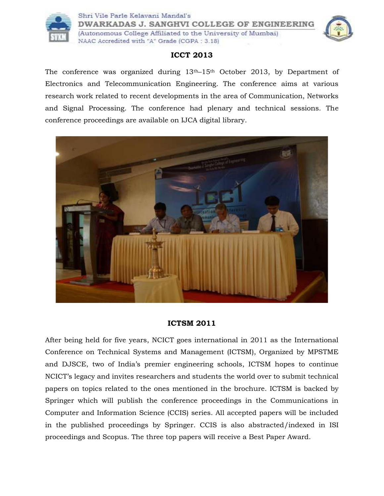

Shri Vile Parle Kelavani Mandal's **DWARKADAS J. SANGHVI COLLEGE OF ENGINEERING** 

(Autonomous College Affiliated to the University of Mumbai) NAAC Accredited with "A" Grade (CGPA: 3.18)



## **ICCT 2013**

The conference was organized during 13<sup>th</sup>–15<sup>th</sup> October 2013, by Department of Electronics and Telecommunication Engineering. The conference aims at various research work related to recent developments in the area of Communication, Networks and Signal Processing. The conference had plenary and technical sessions. The conference proceedings are available on IJCA digital library.



## **ICTSM 2011**

After being held for five years, NCICT goes international in 2011 as the International Conference on Technical Systems and Management (ICTSM), Organized by MPSTME and DJSCE, two of India's premier engineering schools, ICTSM hopes to continue NCICT's legacy and invites researchers and students the world over to submit technical papers on topics related to the ones mentioned in the brochure. ICTSM is backed by Springer which will publish the conference proceedings in the Communications in Computer and Information Science (CCIS) series. All accepted papers will be included in the published proceedings by Springer. CCIS is also abstracted/indexed in ISI proceedings and Scopus. The three top papers will receive a Best Paper Award.